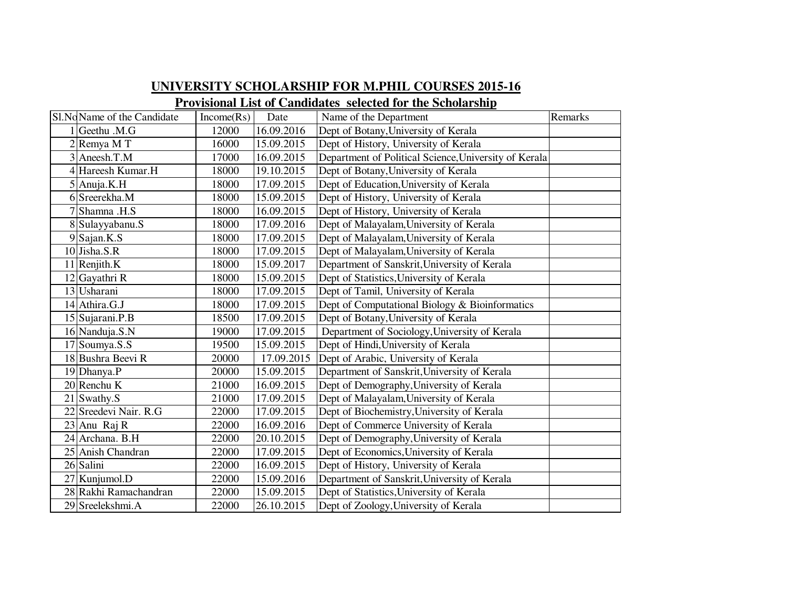## **UNIVERSITY SCHOLARSHIP FOR M.PHIL COURSES 2015-16Provisional List of Candidates selected for the Scholarship**

|   | Sl.NoName of the Candidate | Income(Rs) | Date       | Name of the Department                                | Remarks |
|---|----------------------------|------------|------------|-------------------------------------------------------|---------|
|   | Geethu .M.G                | 12000      | 16.09.2016 | Dept of Botany, University of Kerala                  |         |
|   | Remya M T                  | 16000      | 15.09.2015 | Dept of History, University of Kerala                 |         |
|   | 3 Aneesh.T.M               | 17000      | 16.09.2015 | Department of Political Science, University of Kerala |         |
| 4 | Hareesh Kumar.H            | 18000      | 19.10.2015 | Dept of Botany, University of Kerala                  |         |
|   | $5$ Anuja.K.H              | 18000      | 17.09.2015 | Dept of Education, University of Kerala               |         |
|   | 6 Sreerekha.M              | 18000      | 15.09.2015 | Dept of History, University of Kerala                 |         |
|   | Shamna .H.S                | 18000      | 16.09.2015 | Dept of History, University of Kerala                 |         |
|   | 8 Sulayyabanu.S            | 18000      | 17.09.2016 | Dept of Malayalam, University of Kerala               |         |
|   | $9$ Sajan.K.S              | 18000      | 17.09.2015 | Dept of Malayalam, University of Kerala               |         |
|   | $10$ Jisha.S.R             | 18000      | 17.09.2015 | Dept of Malayalam, University of Kerala               |         |
|   | $11$ Renjith.K             | 18000      | 15.09.2017 | Department of Sanskrit, University of Kerala          |         |
|   | 12 Gayathri R              | 18000      | 15.09.2015 | Dept of Statistics, University of Kerala              |         |
|   | 13 Usharani                | 18000      | 17.09.2015 | Dept of Tamil, University of Kerala                   |         |
|   | 14 Athira.G.J              | 18000      | 17.09.2015 | Dept of Computational Biology & Bioinformatics        |         |
|   | 15 Sujarani.P.B            | 18500      | 17.09.2015 | Dept of Botany, University of Kerala                  |         |
|   | 16 Nanduja.S.N             | 19000      | 17.09.2015 | Department of Sociology, University of Kerala         |         |
|   | 17 Soumya.S.S              | 19500      | 15.09.2015 | Dept of Hindi, University of Kerala                   |         |
|   | 18 Bushra Beevi R          | 20000      | 17.09.2015 | Dept of Arabic, University of Kerala                  |         |
|   | 19 Dhanya.P                | 20000      | 15.09.2015 | Department of Sanskrit, University of Kerala          |         |
|   | $20$ Renchu K              | 21000      | 16.09.2015 | Dept of Demography, University of Kerala              |         |
|   | $21$ Swathy.S              | 21000      | 17.09.2015 | Dept of Malayalam, University of Kerala               |         |
|   | 22 Sreedevi Nair. R.G      | 22000      | 17.09.2015 | Dept of Biochemistry, University of Kerala            |         |
|   | 23 Anu Raj R               | 22000      | 16.09.2016 | Dept of Commerce University of Kerala                 |         |
|   | 24 Archana. B.H            | 22000      | 20.10.2015 | Dept of Demography, University of Kerala              |         |
|   | 25 Anish Chandran          | 22000      | 17.09.2015 | Dept of Economics, University of Kerala               |         |
|   | 26 Salini                  | 22000      | 16.09.2015 | Dept of History, University of Kerala                 |         |
|   | 27 Kunjumol.D              | 22000      | 15.09.2016 | Department of Sanskrit, University of Kerala          |         |
|   | 28 Rakhi Ramachandran      | 22000      | 15.09.2015 | Dept of Statistics, University of Kerala              |         |
|   | 29 Sreelekshmi.A           | 22000      | 26.10.2015 | Dept of Zoology, University of Kerala                 |         |